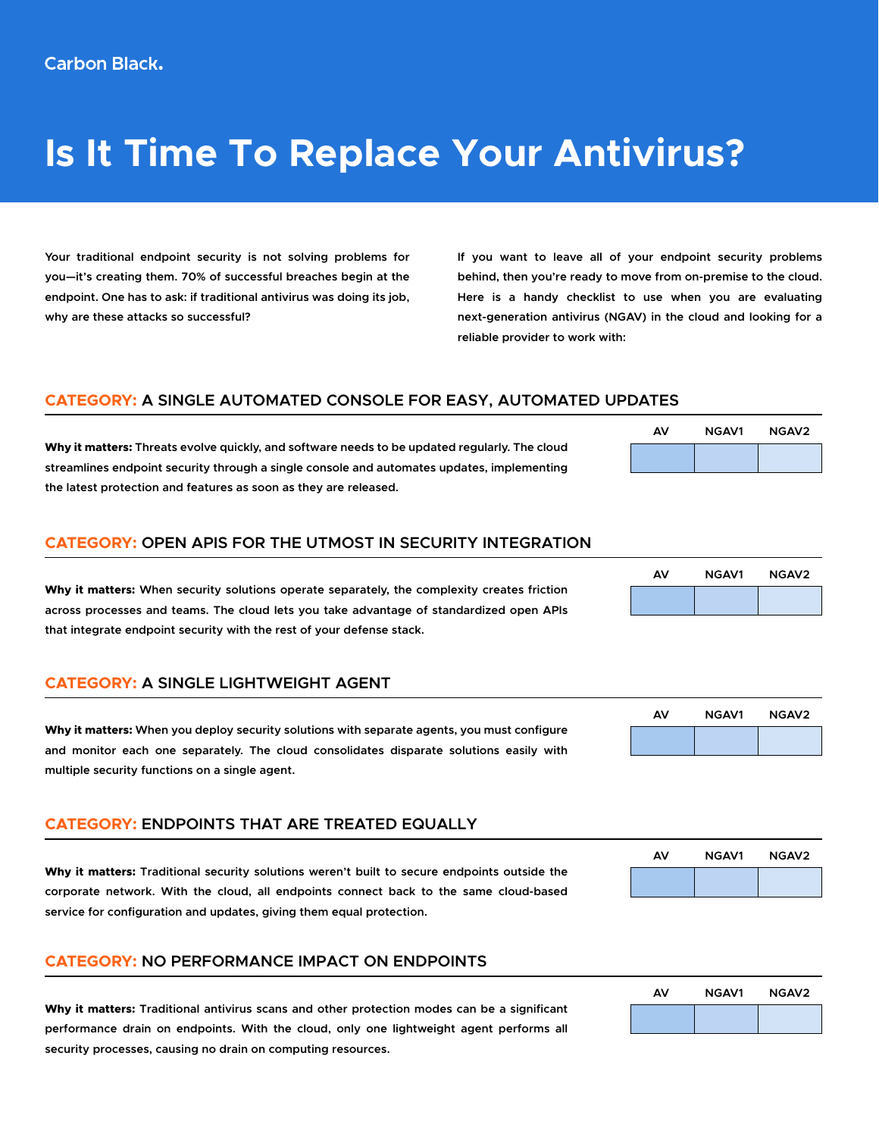# **Is It Time To Replace Your Antivirus?**

**Your traditional endpoint security is not solving problems for you—it's creating them. 70% of successful breaches begin at the endpoint. One has to ask: if traditional antivirus was doing its job, why are these attacks so successful?** 

**If you want to leave all of your endpoint security problems behind, then you're ready to move from on-premise to the cloud. Here is a handy checklist to use when you are evaluating next-generation antivirus (NGAV) in the cloud and looking for a reliable provider to work with:**

# **CATEGORY: A SINGLE AUTOMATED CONSOLE FOR EASY, AUTOMATED UPDATES**

**Why it matters: Threats evolve quickly, and software needs to be updated regularly. The cloud streamlines endpoint security through a single console and automates updates, implementing the latest protection and features as soon as they are released.**

### **CATEGORY: OPEN APIS FOR THE UTMOST IN SECURITY INTEGRATION**

**Why it matters: When security solutions operate separately, the complexity creates friction across processes and teams. The cloud lets you take advantage of standardized open APIs that integrate endpoint security with the rest of your defense stack.** 

# **CATEGORY: A SINGLE LIGHTWEIGHT AGENT**

**Why it matters: When you deploy security solutions with separate agents, you must configure and monitor each one separately. The cloud consolidates disparate solutions easily with multiple security functions on a single agent.** 

# **CATEGORY: ENDPOINTS THAT ARE TREATED EQUALLY**

**Why it matters: Traditional security solutions weren't built to secure endpoints outside the corporate network. With the cloud, all endpoints connect back to the same cloud-based service for configuration and updates, giving them equal protection.**

### **CATEGORY: NO PERFORMANCE IMPACT ON ENDPOINTS**

**Why it matters: Traditional antivirus scans and other protection modes can be a significant performance drain on endpoints. With the cloud, only one lightweight agent performs all security processes, causing no drain on computing resources.**

# **AV NGAV1 NGAV2**

# **AV NGAV1 NGAV2**

| AV | <b>NGAV1</b> | NGAV <sub>2</sub> |
|----|--------------|-------------------|
|    |              |                   |



| AV | <b>NGAV1</b> | NGAV <sub>2</sub> |
|----|--------------|-------------------|
|    |              |                   |